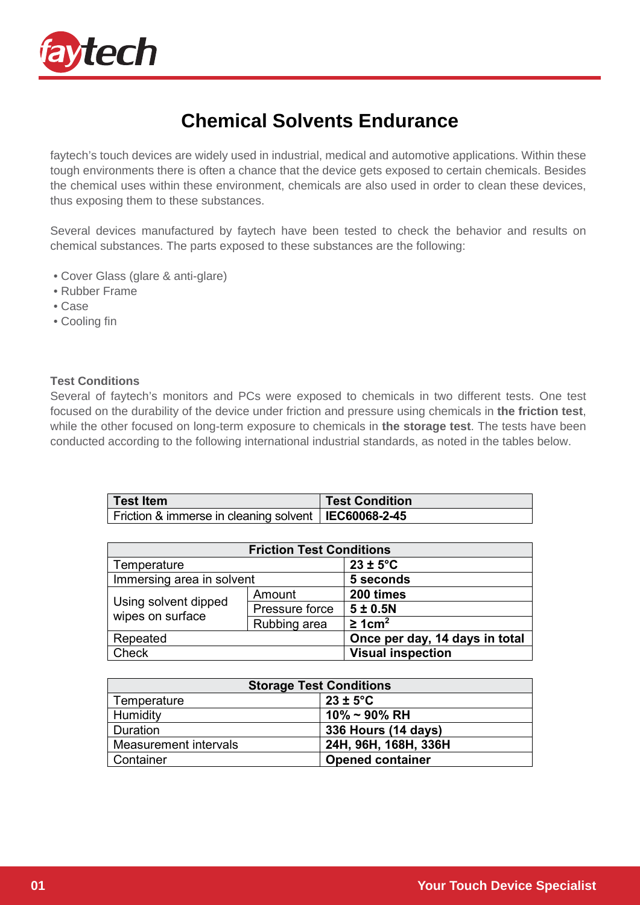

## **Chemical Solvents Endurance**

faytech's touch devices are widely used in industrial, medical and automotive applications. Within these tough environments there is often a chance that the device gets exposed to certain chemicals. Besides the chemical uses within these environment, chemicals are also used in order to clean these devices, thus exposing them to these substances.

Several devices manufactured by faytech have been tested to check the behavior and results on chemical substances. The parts exposed to these substances are the following:

- Cover Glass (glare & anti-glare)
- Rubber Frame
- Case
- Cooling fin

## **Test Conditions**

Several of faytech's monitors and PCs were exposed to chemicals in two different tests. One test focused on the durability of the device under friction and pressure using chemicals in **the friction test**, while the other focused on long-term exposure to chemicals in **the storage test**. The tests have been conducted according to the following international industrial standards, as noted in the tables below.

| <b>Test Item</b>                                       | <b>Test Condition</b> |
|--------------------------------------------------------|-----------------------|
| Friction & immerse in cleaning solvent   IEC60068-2-45 |                       |

| <b>Friction Test Conditions</b>          |                |                                |  |  |  |
|------------------------------------------|----------------|--------------------------------|--|--|--|
| Temperature                              |                | $23 \pm 5^{\circ}$ C           |  |  |  |
| Immersing area in solvent                |                | 5 seconds                      |  |  |  |
| Using solvent dipped<br>wipes on surface | Amount         | 200 times                      |  |  |  |
|                                          | Pressure force | 5±0.5N                         |  |  |  |
|                                          | Rubbing area   | $\geq 1$ cm <sup>2</sup>       |  |  |  |
| Repeated                                 |                | Once per day, 14 days in total |  |  |  |
| <b>Check</b>                             |                | <b>Visual inspection</b>       |  |  |  |

| <b>Storage Test Conditions</b> |                         |  |
|--------------------------------|-------------------------|--|
| Temperature                    | $23 \pm 5^{\circ}$ C    |  |
| Humidity                       | $10\%$ ~ 90% RH         |  |
| <b>Duration</b>                | 336 Hours (14 days)     |  |
| Measurement intervals          | 24H, 96H, 168H, 336H    |  |
| Container                      | <b>Opened container</b> |  |